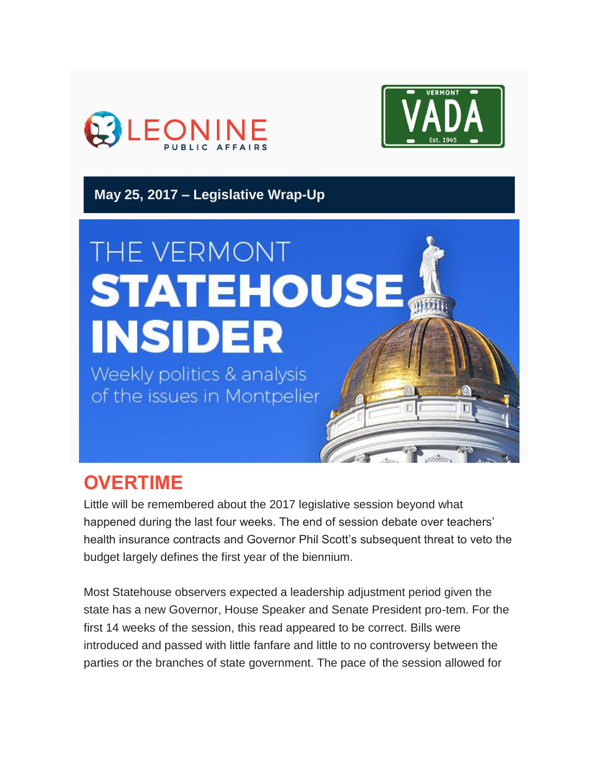



**May 25, 2017 – Legislative Wrap-Up**

# THE VERMONT **STATEHOUSE INSIDER**

Weekly politics & analysis of the issues in Montpelier

# **OVERTIME**

Little will be remembered about the 2017 legislative session beyond what happened during the last four weeks. The end of session debate over teachers' health insurance contracts and Governor Phil Scott's subsequent threat to veto the budget largely defines the first year of the biennium.

Most Statehouse observers expected a leadership adjustment period given the state has a new Governor, House Speaker and Senate President pro-tem. For the first 14 weeks of the session, this read appeared to be correct. Bills were introduced and passed with little fanfare and little to no controversy between the parties or the branches of state government. The pace of the session allowed for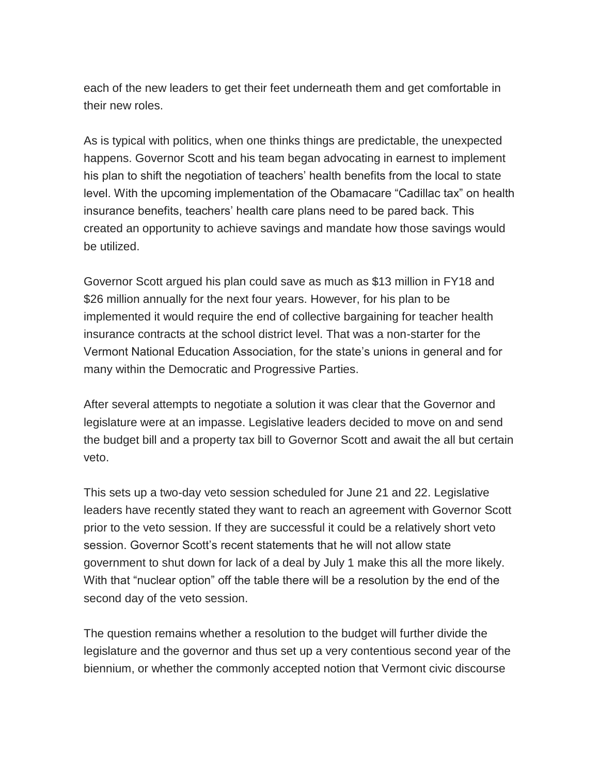each of the new leaders to get their feet underneath them and get comfortable in their new roles.

As is typical with politics, when one thinks things are predictable, the unexpected happens. Governor Scott and his team began advocating in earnest to implement his plan to shift the negotiation of teachers' health benefits from the local to state level. With the upcoming implementation of the Obamacare "Cadillac tax" on health insurance benefits, teachers' health care plans need to be pared back. This created an opportunity to achieve savings and mandate how those savings would be utilized.

Governor Scott argued his plan could save as much as \$13 million in FY18 and \$26 million annually for the next four years. However, for his plan to be implemented it would require the end of collective bargaining for teacher health insurance contracts at the school district level. That was a non-starter for the Vermont National Education Association, for the state's unions in general and for many within the Democratic and Progressive Parties.

After several attempts to negotiate a solution it was clear that the Governor and legislature were at an impasse. Legislative leaders decided to move on and send the budget bill and a property tax bill to Governor Scott and await the all but certain veto.

This sets up a two-day veto session scheduled for June 21 and 22. Legislative leaders have recently stated they want to reach an agreement with Governor Scott prior to the veto session. If they are successful it could be a relatively short veto session. Governor Scott's recent statements that he will not allow state government to shut down for lack of a deal by July 1 make this all the more likely. With that "nuclear option" off the table there will be a resolution by the end of the second day of the veto session.

The question remains whether a resolution to the budget will further divide the legislature and the governor and thus set up a very contentious second year of the biennium, or whether the commonly accepted notion that Vermont civic discourse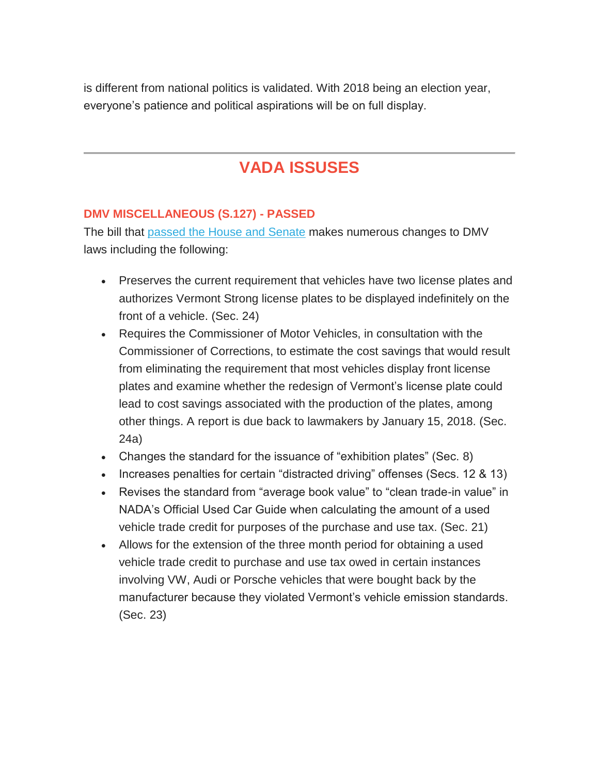is different from national politics is validated. With 2018 being an election year, everyone's patience and political aspirations will be on full display.

# **VADA ISSUSES**

## **DMV MISCELLANEOUS (S.127) - PASSED**

The bill that [passed the House and Senate](http://legislature.vermont.gov/assets/Documents/2018/Docs/BILLS/S-0127/S-0127%20As%20Passed%20by%20Both%20House%20and%20Senate%20Unofficial.pdf) makes numerous changes to DMV laws including the following:

- Preserves the current requirement that vehicles have two license plates and authorizes Vermont Strong license plates to be displayed indefinitely on the front of a vehicle. (Sec. 24)
- Requires the Commissioner of Motor Vehicles, in consultation with the Commissioner of Corrections, to estimate the cost savings that would result from eliminating the requirement that most vehicles display front license plates and examine whether the redesign of Vermont's license plate could lead to cost savings associated with the production of the plates, among other things. A report is due back to lawmakers by January 15, 2018. (Sec. 24a)
- Changes the standard for the issuance of "exhibition plates" (Sec. 8)
- Increases penalties for certain "distracted driving" offenses (Secs. 12 & 13)
- Revises the standard from "average book value" to "clean trade-in value" in NADA's Official Used Car Guide when calculating the amount of a used vehicle trade credit for purposes of the purchase and use tax. (Sec. 21)
- Allows for the extension of the three month period for obtaining a used vehicle trade credit to purchase and use tax owed in certain instances involving VW, Audi or Porsche vehicles that were bought back by the manufacturer because they violated Vermont's vehicle emission standards. (Sec. 23)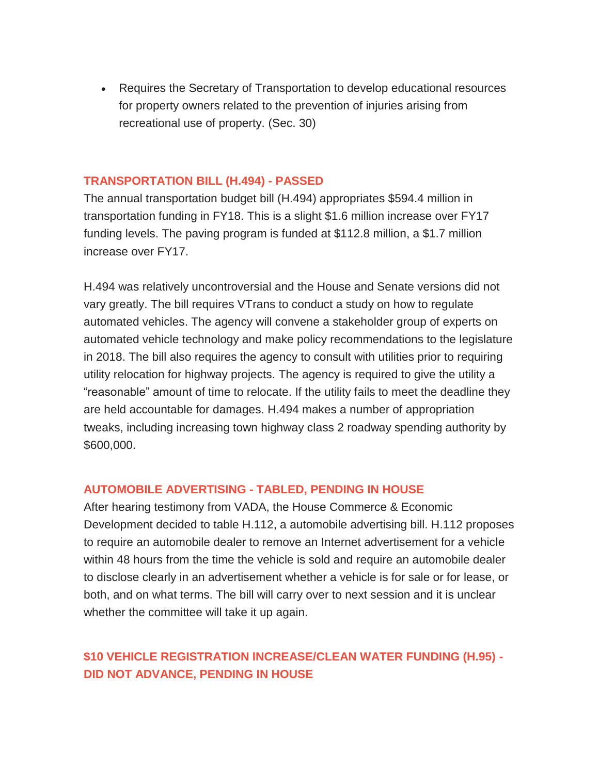Requires the Secretary of Transportation to develop educational resources for property owners related to the prevention of injuries arising from recreational use of property. (Sec. 30)

#### **TRANSPORTATION BILL (H.494) - PASSED**

The annual transportation budget bill (H.494) appropriates \$594.4 million in transportation funding in FY18. This is a slight \$1.6 million increase over FY17 funding levels. The paving program is funded at \$112.8 million, a \$1.7 million increase over FY17.

H.494 was relatively uncontroversial and the House and Senate versions did not vary greatly. The bill requires VTrans to conduct a study on how to regulate automated vehicles. The agency will convene a stakeholder group of experts on automated vehicle technology and make policy recommendations to the legislature in 2018. The bill also requires the agency to consult with utilities prior to requiring utility relocation for highway projects. The agency is required to give the utility a "reasonable" amount of time to relocate. If the utility fails to meet the deadline they are held accountable for damages. H.494 makes a number of appropriation tweaks, including increasing town highway class 2 roadway spending authority by \$600,000.

#### **AUTOMOBILE ADVERTISING - TABLED, PENDING IN HOUSE**

After hearing testimony from VADA, the House Commerce & Economic Development decided to table H.112, a automobile advertising bill. H.112 proposes to require an automobile dealer to remove an Internet advertisement for a vehicle within 48 hours from the time the vehicle is sold and require an automobile dealer to disclose clearly in an advertisement whether a vehicle is for sale or for lease, or both, and on what terms. The bill will carry over to next session and it is unclear whether the committee will take it up again.

# **\$10 VEHICLE REGISTRATION INCREASE/CLEAN WATER FUNDING (H.95) - DID NOT ADVANCE, PENDING IN HOUSE**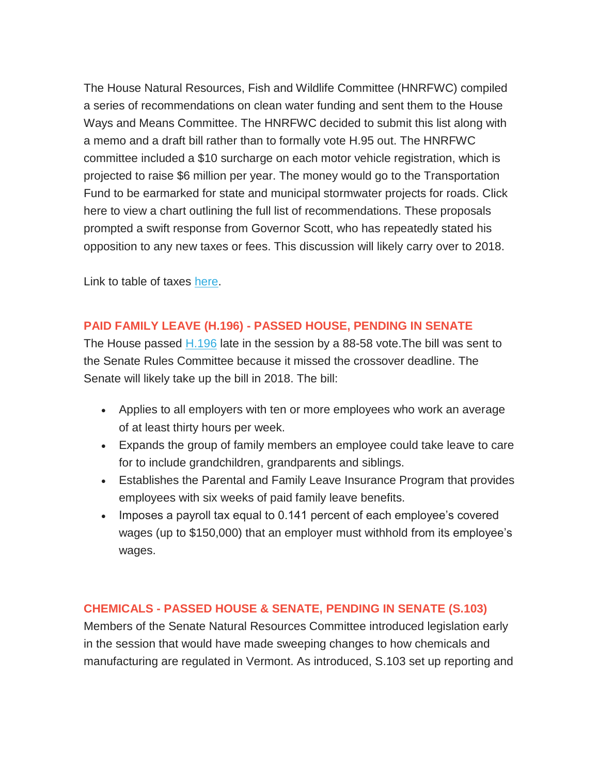The House Natural Resources, Fish and Wildlife Committee (HNRFWC) compiled a series of recommendations on clean water funding and sent them to the House Ways and Means Committee. The HNRFWC decided to submit this list along with a memo and a draft bill rather than to formally vote H.95 out. The HNRFWC committee included a \$10 surcharge on each motor vehicle registration, which is projected to raise \$6 million per year. The money would go to the Transportation Fund to be earmarked for state and municipal stormwater projects for roads. Click here to view a chart outlining the full list of recommendations. These proposals prompted a swift response from Governor Scott, who has repeatedly stated his opposition to any new taxes or fees. This discussion will likely carry over to 2018.

Link to table of taxes [here.](http://legislature.vermont.gov/assets/Documents/2018/WorkGroups/House%20Ways%20and%20Means/Clean%20Water%20Fund/W~Michael%20O)

# **PAID FAMILY LEAVE (H.196) - PASSED HOUSE, PENDING IN SENATE**

The House passed [H.196](http://legislature.vermont.gov/assets/Documents/2018/Docs/BILLS/H-0196/H-0196%20As%20Passed%20by%20the%20House%20Unofficial.pdf) late in the session by a 88-58 vote. The bill was sent to the Senate Rules Committee because it missed the crossover deadline. The Senate will likely take up the bill in 2018. The bill:

- Applies to all employers with ten or more employees who work an average of at least thirty hours per week.
- Expands the group of family members an employee could take leave to care for to include grandchildren, grandparents and siblings.
- Establishes the Parental and Family Leave Insurance Program that provides employees with six weeks of paid family leave benefits.
- Imposes a payroll tax equal to 0.141 percent of each employee's covered wages (up to \$150,000) that an employer must withhold from its employee's wages.

## **CHEMICALS - PASSED HOUSE & SENATE, PENDING IN SENATE (S.103)**

Members of the Senate Natural Resources Committee introduced legislation early in the session that would have made sweeping changes to how chemicals and manufacturing are regulated in Vermont. As introduced, S.103 set up reporting and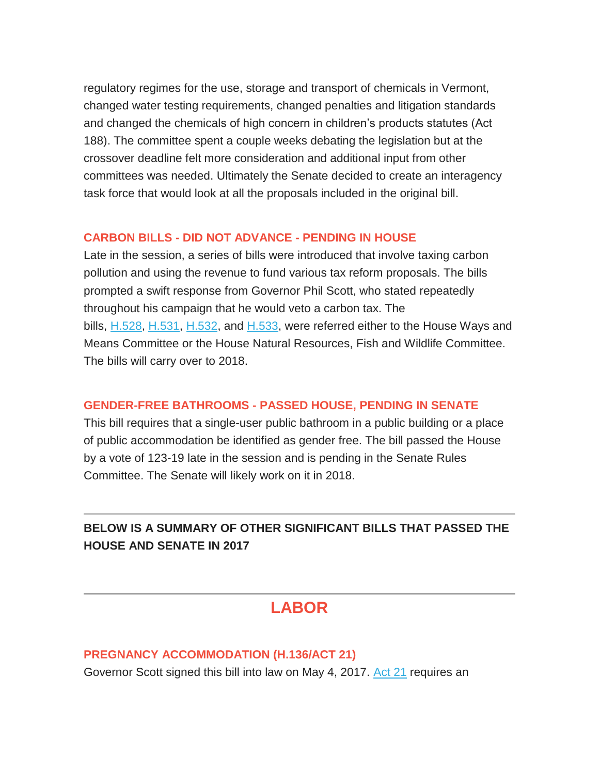regulatory regimes for the use, storage and transport of chemicals in Vermont, changed water testing requirements, changed penalties and litigation standards and changed the chemicals of high concern in children's products statutes (Act 188). The committee spent a couple weeks debating the legislation but at the crossover deadline felt more consideration and additional input from other committees was needed. Ultimately the Senate decided to create an interagency task force that would look at all the proposals included in the original bill.

## **CARBON BILLS - DID NOT ADVANCE - PENDING IN HOUSE**

Late in the session, a series of bills were introduced that involve taxing carbon pollution and using the revenue to fund various tax reform proposals. The bills prompted a swift response from Governor Phil Scott, who stated repeatedly throughout his campaign that he would veto a carbon tax. The bills, [H.528,](http://legislature.vermont.gov/assets/Documents/2018/Docs/BILLS/H-0528/H-0528%20As%20Introduced.pdf) [H.531,](http://legislature.vermont.gov/assets/Documents/2018/Docs/BILLS/H-0531/H-0531%20As%20Introduced.pdf) [H.532,](http://legislature.vermont.gov/assets/Documents/2018/Docs/BILLS/H-0532/H-0532%20As%20Introduced.pdf) and [H.533,](http://legislature.vermont.gov/assets/Documents/2018/Docs/BILLS/H-0533/H-0533%20As%20Introduced.pdf) were referred either to the House Ways and Means Committee or the House Natural Resources, Fish and Wildlife Committee. The bills will carry over to 2018.

#### **GENDER-FREE BATHROOMS - PASSED HOUSE, PENDING IN SENATE**

This bill requires that a single-user public bathroom in a public building or a place of public accommodation be identified as gender free. The bill passed the House by a vote of 123-19 late in the session and is pending in the Senate Rules Committee. The Senate will likely work on it in 2018.

# **BELOW IS A SUMMARY OF OTHER SIGNIFICANT BILLS THAT PASSED THE HOUSE AND SENATE IN 2017**

# **LABOR**

## **PREGNANCY ACCOMMODATION (H.136/ACT 21)**

Governor Scott signed this bill into law on May 4, 2017. [Act 21](http://legislature.vermont.gov/assets/Documents/2018/Docs/ACTS/ACT021/ACT021%20As%20Enacted.pdf) requires an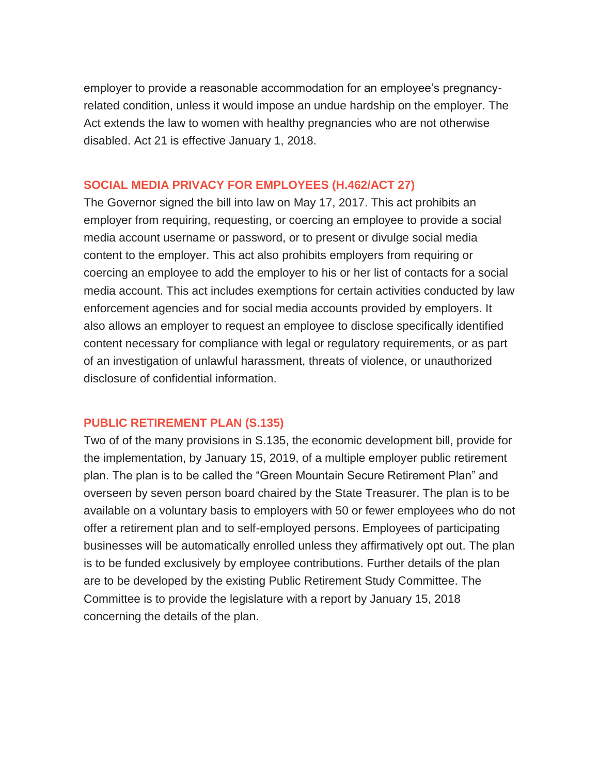employer to provide a reasonable accommodation for an employee's pregnancyrelated condition, unless it would impose an undue hardship on the employer. The Act extends the law to women with healthy pregnancies who are not otherwise disabled. Act 21 is effective January 1, 2018.

#### **SOCIAL MEDIA PRIVACY FOR EMPLOYEES (H.462/ACT 27)**

The Governor signed the bill into law on May 17, 2017. This act prohibits an employer from requiring, requesting, or coercing an employee to provide a social media account username or password, or to present or divulge social media content to the employer. This act also prohibits employers from requiring or coercing an employee to add the employer to his or her list of contacts for a social media account. This act includes exemptions for certain activities conducted by law enforcement agencies and for social media accounts provided by employers. It also allows an employer to request an employee to disclose specifically identified content necessary for compliance with legal or regulatory requirements, or as part of an investigation of unlawful harassment, threats of violence, or unauthorized disclosure of confidential information.

#### **PUBLIC RETIREMENT PLAN (S.135)**

Two of of the many provisions in S.135, the economic development bill, provide for the implementation, by January 15, 2019, of a multiple employer public retirement plan. The plan is to be called the "Green Mountain Secure Retirement Plan" and overseen by seven person board chaired by the State Treasurer. The plan is to be available on a voluntary basis to employers with 50 or fewer employees who do not offer a retirement plan and to self-employed persons. Employees of participating businesses will be automatically enrolled unless they affirmatively opt out. The plan is to be funded exclusively by employee contributions. Further details of the plan are to be developed by the existing Public Retirement Study Committee. The Committee is to provide the legislature with a report by January 15, 2018 concerning the details of the plan.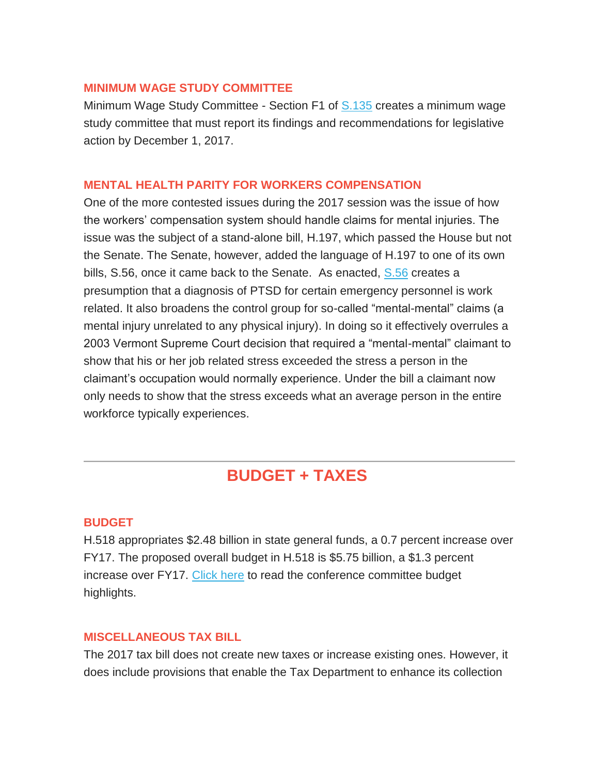#### **MINIMUM WAGE STUDY COMMITTEE**

Minimum Wage Study Committee - Section F1 of [S.135](http://legislature.vermont.gov/assets/Documents/2018/WorkGroups/House%20Commerce/Bills/S.135/S.135~David%20Hall~Draft%20No.%207.1,%205-18-2017~5-18-2017.pdf) creates a minimum wage study committee that must report its findings and recommendations for legislative action by December 1, 2017.

#### **MENTAL HEALTH PARITY FOR WORKERS COMPENSATION**

One of the more contested issues during the 2017 session was the issue of how the workers' compensation system should handle claims for mental injuries. The issue was the subject of a stand-alone bill, H.197, which passed the House but not the Senate. The Senate, however, added the language of H.197 to one of its own bills, S.56, once it came back to the Senate. As enacted, [S.56](http://legislature.vermont.gov/assets/Documents/2018/Docs/BILLS/S-0056/S-0056%20As%20Passed%20by%20Both%20House%20and%20Senate%20Unofficial.pdf) creates a presumption that a diagnosis of PTSD for certain emergency personnel is work related. It also broadens the control group for so-called "mental-mental" claims (a mental injury unrelated to any physical injury). In doing so it effectively overrules a 2003 Vermont Supreme Court decision that required a "mental-mental" claimant to show that his or her job related stress exceeded the stress a person in the claimant's occupation would normally experience. Under the bill a claimant now only needs to show that the stress exceeds what an average person in the entire workforce typically experiences.

# **BUDGET + TAXES**

## **BUDGET**

H.518 appropriates \$2.48 billion in state general funds, a 0.7 percent increase over FY17. The proposed overall budget in H.518 is \$5.75 billion, a \$1.3 percent increase over FY17. [Click here](http://www.leg.state.vt.us/jfo/appropriations/fy_2018/CoC_Budget_Summary_Doc.pdf) to read the conference committee budget highlights.

## **MISCELLANEOUS TAX BILL**

The 2017 tax bill does not create new taxes or increase existing ones. However, it does include provisions that enable the Tax Department to enhance its collection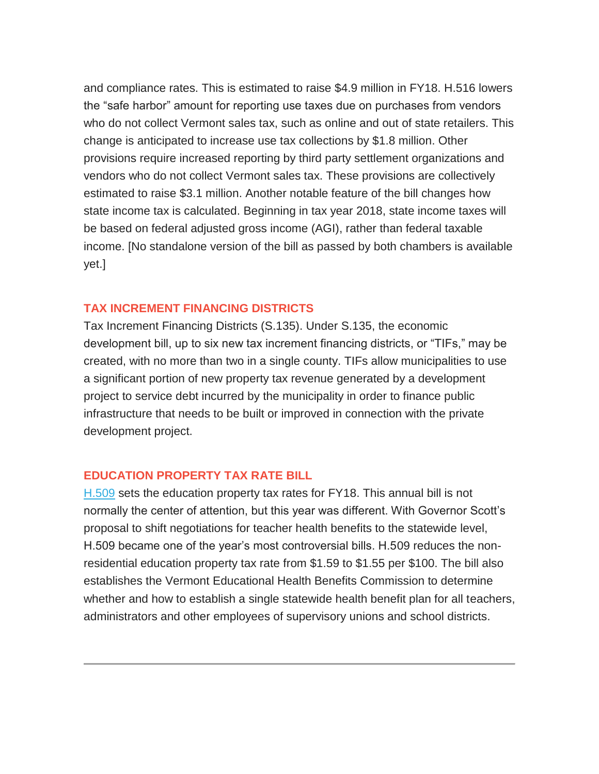and compliance rates. This is estimated to raise \$4.9 million in FY18. H.516 lowers the "safe harbor" amount for reporting use taxes due on purchases from vendors who do not collect Vermont sales tax, such as online and out of state retailers. This change is anticipated to increase use tax collections by \$1.8 million. Other provisions require increased reporting by third party settlement organizations and vendors who do not collect Vermont sales tax. These provisions are collectively estimated to raise \$3.1 million. Another notable feature of the bill changes how state income tax is calculated. Beginning in tax year 2018, state income taxes will be based on federal adjusted gross income (AGI), rather than federal taxable income. [No standalone version of the bill as passed by both chambers is available yet.]

#### **TAX INCREMENT FINANCING DISTRICTS**

Tax Increment Financing Districts (S.135). Under S.135, the economic development bill, up to six new tax increment financing districts, or "TIFs," may be created, with no more than two in a single county. TIFs allow municipalities to use a significant portion of new property tax revenue generated by a development project to service debt incurred by the municipality in order to finance public infrastructure that needs to be built or improved in connection with the private development project.

## **EDUCATION PROPERTY TAX RATE BILL**

[H.509](http://legislature.vermont.gov/assets/Documents/2018/Docs/BILLS/H-0509/H-0509%20As%20Passed%20by%20Both%20House%20and%20Senate%20Unofficial.pdf) sets the education property tax rates for FY18. This annual bill is not normally the center of attention, but this year was different. With Governor Scott's proposal to shift negotiations for teacher health benefits to the statewide level, H.509 became one of the year's most controversial bills. H.509 reduces the nonresidential education property tax rate from \$1.59 to \$1.55 per \$100. The bill also establishes the Vermont Educational Health Benefits Commission to determine whether and how to establish a single statewide health benefit plan for all teachers, administrators and other employees of supervisory unions and school districts.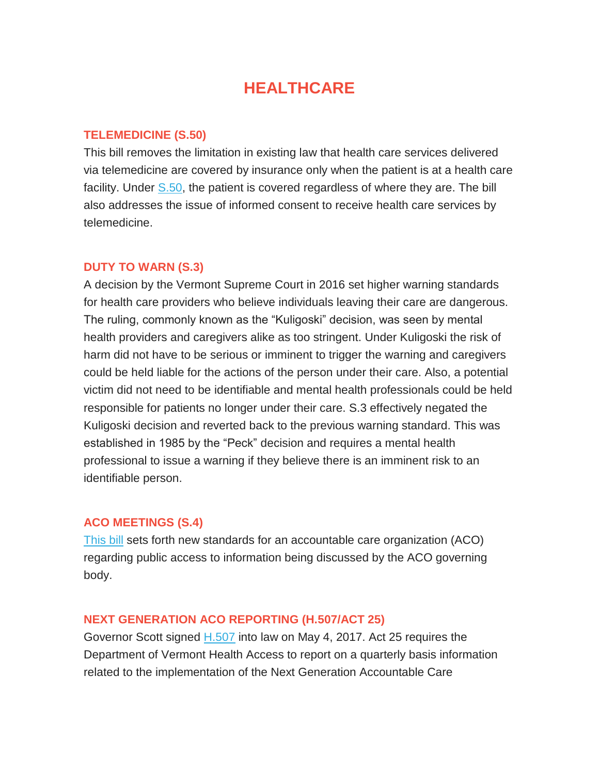# **HEALTHCARE**

#### **TELEMEDICINE (S.50)**

This bill removes the limitation in existing law that health care services delivered via telemedicine are covered by insurance only when the patient is at a health care facility. Under [S.50,](http://legislature.vermont.gov/assets/Documents/2018/Docs/BILLS/S-0050/S-0050%20As%20Passed%20by%20Both%20House%20and%20Senate%20Unofficial.pdf) the patient is covered regardless of where they are. The bill also addresses the issue of informed consent to receive health care services by telemedicine.

#### **DUTY TO WARN (S.3)**

A decision by the Vermont Supreme Court in 2016 set higher warning standards for health care providers who believe individuals leaving their care are dangerous. The ruling, commonly known as the "Kuligoski" decision, was seen by mental health providers and caregivers alike as too stringent. Under Kuligoski the risk of harm did not have to be serious or imminent to trigger the warning and caregivers could be held liable for the actions of the person under their care. Also, a potential victim did not need to be identifiable and mental health professionals could be held responsible for patients no longer under their care. S.3 effectively negated the Kuligoski decision and reverted back to the previous warning standard. This was established in 1985 by the "Peck" decision and requires a mental health professional to issue a warning if they believe there is an imminent risk to an identifiable person.

#### **ACO MEETINGS (S.4)**

[This bill](http://legislature.vermont.gov/assets/Documents/2018/Docs/BILLS/S-0004/S-0004%20As%20Passed%20by%20Both%20House%20and%20Senate%20Unofficial.pdf) sets forth new standards for an accountable care organization (ACO) regarding public access to information being discussed by the ACO governing body.

#### **NEXT GENERATION ACO REPORTING (H.507/ACT 25)**

Governor Scott signed [H.507](http://legislature.vermont.gov/assets/Documents/2018/Docs/ACTS/ACT025/ACT025%20As%20Enacted.pdf) into law on May 4, 2017. Act 25 requires the Department of Vermont Health Access to report on a quarterly basis information related to the implementation of the Next Generation Accountable Care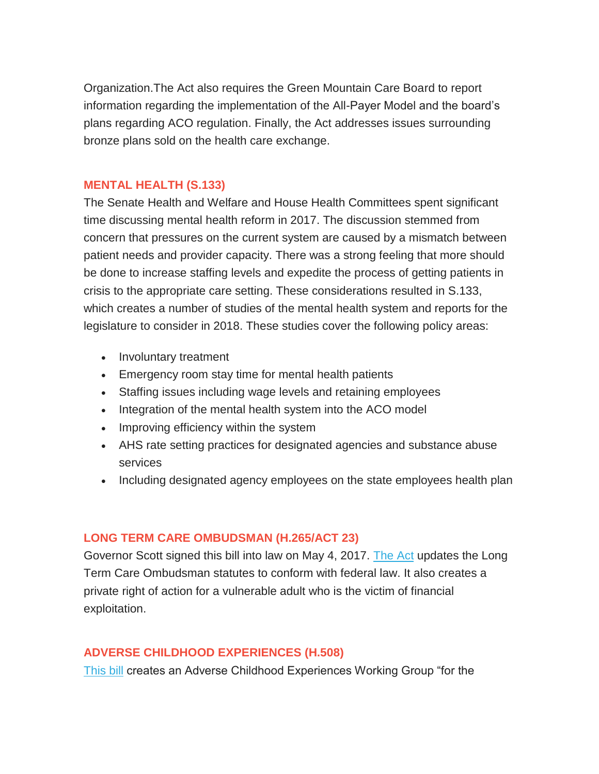Organization.The Act also requires the Green Mountain Care Board to report information regarding the implementation of the All-Payer Model and the board's plans regarding ACO regulation. Finally, the Act addresses issues surrounding bronze plans sold on the health care exchange.

#### **MENTAL HEALTH (S.133)**

The Senate Health and Welfare and House Health Committees spent significant time discussing mental health reform in 2017. The discussion stemmed from concern that pressures on the current system are caused by a mismatch between patient needs and provider capacity. There was a strong feeling that more should be done to increase staffing levels and expedite the process of getting patients in crisis to the appropriate care setting. These considerations resulted in S.133, which creates a number of studies of the mental health system and reports for the legislature to consider in 2018. These studies cover the following policy areas:

- Involuntary treatment
- Emergency room stay time for mental health patients
- Staffing issues including wage levels and retaining employees
- Integration of the mental health system into the ACO model
- Improving efficiency within the system
- AHS rate setting practices for designated agencies and substance abuse services
- Including designated agency employees on the state employees health plan

## **LONG TERM CARE OMBUDSMAN (H.265/ACT 23)**

Governor Scott signed this bill into law on May 4, 2017. [The Act](http://legislature.vermont.gov/assets/Documents/2018/Docs/ACTS/ACT023/ACT023%20As%20Enacted.pdf) updates the Long Term Care Ombudsman statutes to conform with federal law. It also creates a private right of action for a vulnerable adult who is the victim of financial exploitation.

## **ADVERSE CHILDHOOD EXPERIENCES (H.508)**

[This bill](http://legislature.vermont.gov/assets/Documents/2018/Docs/BILLS/H-0508/H-0508%20As%20Passed%20by%20Both%20House%20and%20Senate%20Unofficial.pdf) creates an Adverse Childhood Experiences Working Group "for the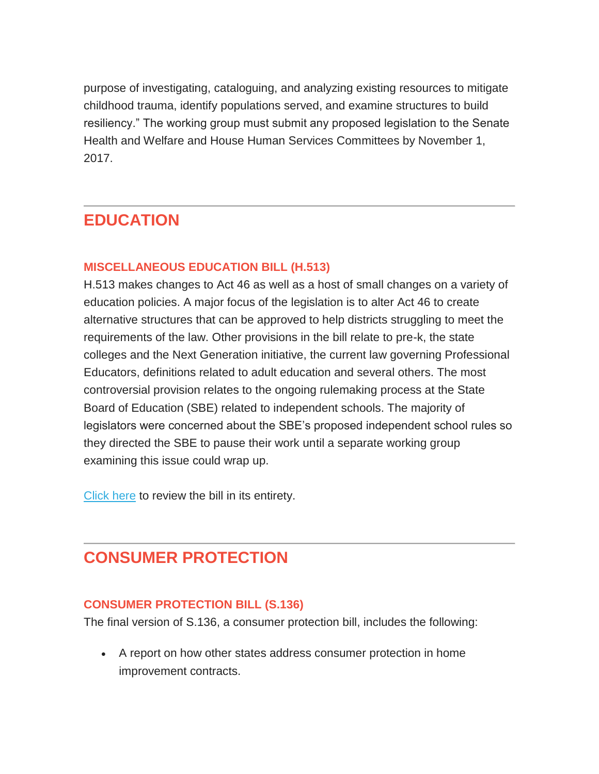purpose of investigating, cataloguing, and analyzing existing resources to mitigate childhood trauma, identify populations served, and examine structures to build resiliency." The working group must submit any proposed legislation to the Senate Health and Welfare and House Human Services Committees by November 1, 2017.

# **EDUCATION**

# **MISCELLANEOUS EDUCATION BILL (H.513)**

H.513 makes changes to Act 46 as well as a host of small changes on a variety of education policies. A major focus of the legislation is to alter Act 46 to create alternative structures that can be approved to help districts struggling to meet the requirements of the law. Other provisions in the bill relate to pre-k, the state colleges and the Next Generation initiative, the current law governing Professional Educators, definitions related to adult education and several others. The most controversial provision relates to the ongoing rulemaking process at the State Board of Education (SBE) related to independent schools. The majority of legislators were concerned about the SBE's proposed independent school rules so they directed the SBE to pause their work until a separate working group examining this issue could wrap up.

[Click here](http://legislature.vermont.gov/assets/Committee-Of-Conference-Reports/H.513-conference-report.pdf) to review the bill in its entirety.

# **CONSUMER PROTECTION**

## **CONSUMER PROTECTION BILL (S.136)**

The final version of S.136, a consumer protection bill, includes the following:

 A report on how other states address consumer protection in home improvement contracts.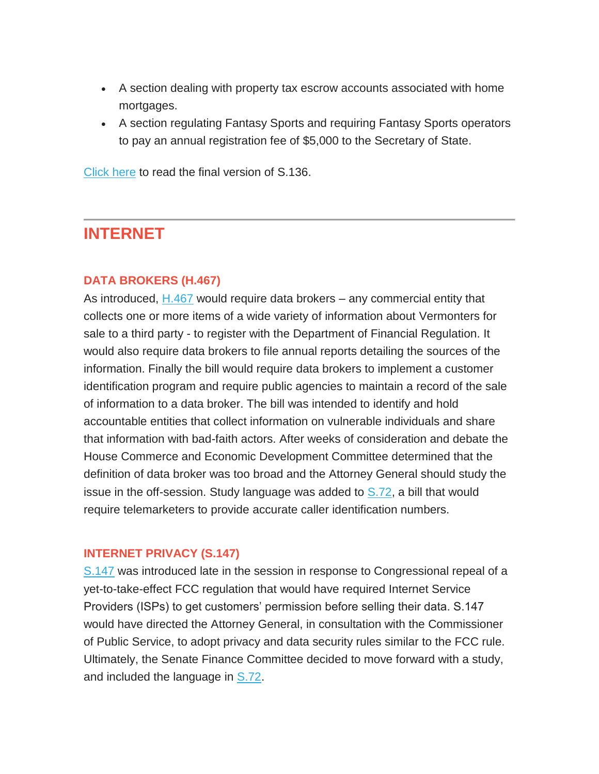- A section dealing with property tax escrow accounts associated with home mortgages.
- A section regulating Fantasy Sports and requiring Fantasy Sports operators to pay an annual registration fee of \$5,000 to the Secretary of State.

[Click here](http://legislature.vermont.gov/assets/Documents/2018/WorkGroups/House%20Commerce/Bills/S.136/S.136~David%20Hall~Draft%20No.%205.1,%205-11-2017~5-11-2017.pdf) to read the final version of S.136.

# **INTERNET**

#### **DATA BROKERS (H.467)**

As introduced, [H.467](http://legislature.vermont.gov/assets/Documents/2018/Docs/BILLS/H-0467/H-0467%20As%20Introduced.pdf) would require data brokers – any commercial entity that collects one or more items of a wide variety of information about Vermonters for sale to a third party - to register with the Department of Financial Regulation. It would also require data brokers to file annual reports detailing the sources of the information. Finally the bill would require data brokers to implement a customer identification program and require public agencies to maintain a record of the sale of information to a data broker. The bill was intended to identify and hold accountable entities that collect information on vulnerable individuals and share that information with bad-faith actors. After weeks of consideration and debate the House Commerce and Economic Development Committee determined that the definition of data broker was too broad and the Attorney General should study the issue in the off-session. Study language was added to [S.72,](http://legislature.vermont.gov/assets/Documents/2018/Docs/BILLS/S-0072/S-0072%20As%20Passed%20by%20Both%20House%20and%20Senate%20Unofficial.pdf) a bill that would require telemarketers to provide accurate caller identification numbers.

#### **INTERNET PRIVACY (S.147)**

[S.147](http://legislature.vermont.gov/assets/Documents/2018/Docs/BILLS/S-0147/S-0147%20As%20Introduced.pdf) was introduced late in the session in response to Congressional repeal of a yet-to-take-effect FCC regulation that would have required Internet Service Providers (ISPs) to get customers' permission before selling their data. S.147 would have directed the Attorney General, in consultation with the Commissioner of Public Service, to adopt privacy and data security rules similar to the FCC rule. Ultimately, the Senate Finance Committee decided to move forward with a study, and included the language in [S.72.](http://legislature.vermont.gov/assets/Documents/2018/Docs/BILLS/S-0072/S-0072%20As%20Passed%20by%20Both%20House%20and%20Senate%20Unofficial.pdf)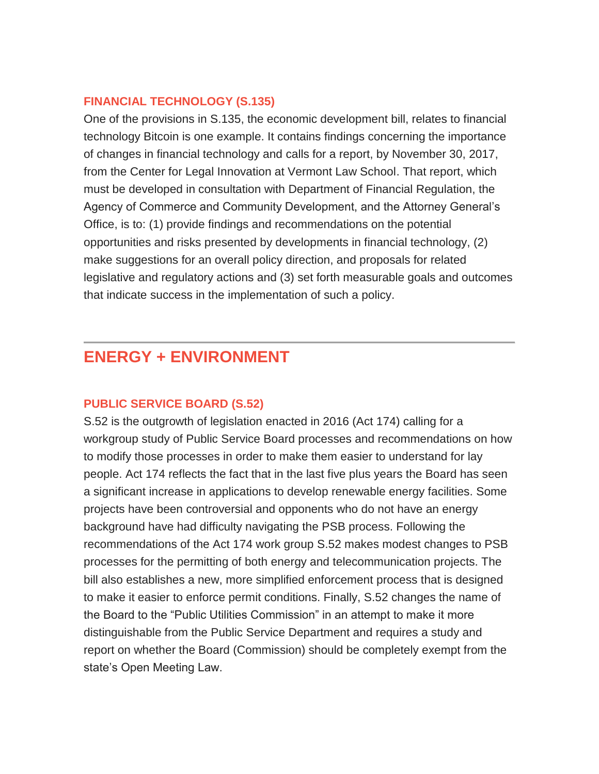#### **FINANCIAL TECHNOLOGY (S.135)**

One of the provisions in S.135, the economic development bill, relates to financial technology Bitcoin is one example. It contains findings concerning the importance of changes in financial technology and calls for a report, by November 30, 2017, from the Center for Legal Innovation at Vermont Law School. That report, which must be developed in consultation with Department of Financial Regulation, the Agency of Commerce and Community Development, and the Attorney General's Office, is to: (1) provide findings and recommendations on the potential opportunities and risks presented by developments in financial technology, (2) make suggestions for an overall policy direction, and proposals for related legislative and regulatory actions and (3) set forth measurable goals and outcomes that indicate success in the implementation of such a policy.

# **ENERGY + ENVIRONMENT**

#### **PUBLIC SERVICE BOARD (S.52)**

S.52 is the outgrowth of legislation enacted in 2016 (Act 174) calling for a workgroup study of Public Service Board processes and recommendations on how to modify those processes in order to make them easier to understand for lay people. Act 174 reflects the fact that in the last five plus years the Board has seen a significant increase in applications to develop renewable energy facilities. Some projects have been controversial and opponents who do not have an energy background have had difficulty navigating the PSB process. Following the recommendations of the Act 174 work group S.52 makes modest changes to PSB processes for the permitting of both energy and telecommunication projects. The bill also establishes a new, more simplified enforcement process that is designed to make it easier to enforce permit conditions. Finally, S.52 changes the name of the Board to the "Public Utilities Commission" in an attempt to make it more distinguishable from the Public Service Department and requires a study and report on whether the Board (Commission) should be completely exempt from the state's Open Meeting Law.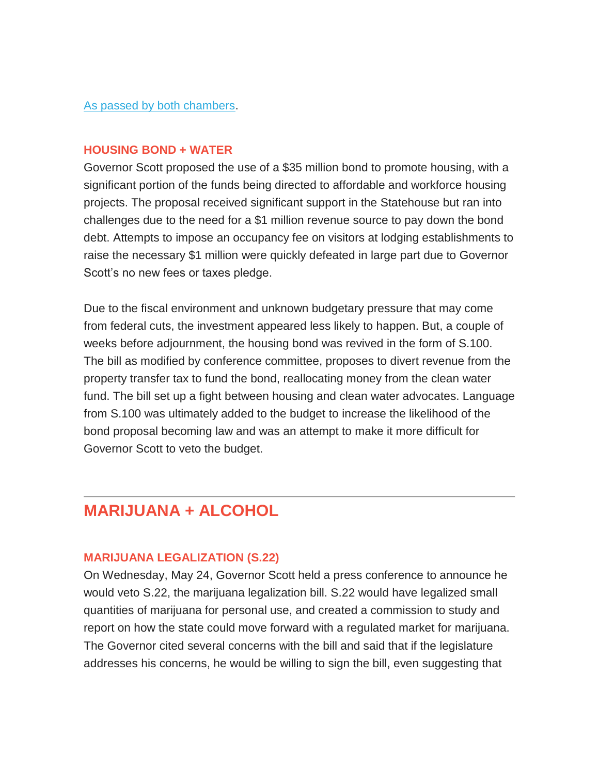#### [As passed by both chambers.](http://legislature.vermont.gov/assets/Documents/2018/Docs/BILLS/S-0052/S-0052%20As%20Passed%20by%20Both%20House%20and%20Senate%20Unofficial.pdf)

#### **HOUSING BOND + WATER**

Governor Scott proposed the use of a \$35 million bond to promote housing, with a significant portion of the funds being directed to affordable and workforce housing projects. The proposal received significant support in the Statehouse but ran into challenges due to the need for a \$1 million revenue source to pay down the bond debt. Attempts to impose an occupancy fee on visitors at lodging establishments to raise the necessary \$1 million were quickly defeated in large part due to Governor Scott's no new fees or taxes pledge.

Due to the fiscal environment and unknown budgetary pressure that may come from federal cuts, the investment appeared less likely to happen. But, a couple of weeks before adjournment, the housing bond was revived in the form of S.100. The bill as modified by conference committee, proposes to divert revenue from the property transfer tax to fund the bond, reallocating money from the clean water fund. The bill set up a fight between housing and clean water advocates. Language from S.100 was ultimately added to the budget to increase the likelihood of the bond proposal becoming law and was an attempt to make it more difficult for Governor Scott to veto the budget.

# **MARIJUANA + ALCOHOL**

#### **MARIJUANA LEGALIZATION (S.22)**

On Wednesday, May 24, Governor Scott held a press conference to announce he would veto S.22, the marijuana legalization bill. S.22 would have legalized small quantities of marijuana for personal use, and created a commission to study and report on how the state could move forward with a regulated market for marijuana. The Governor cited several concerns with the bill and said that if the legislature addresses his concerns, he would be willing to sign the bill, even suggesting that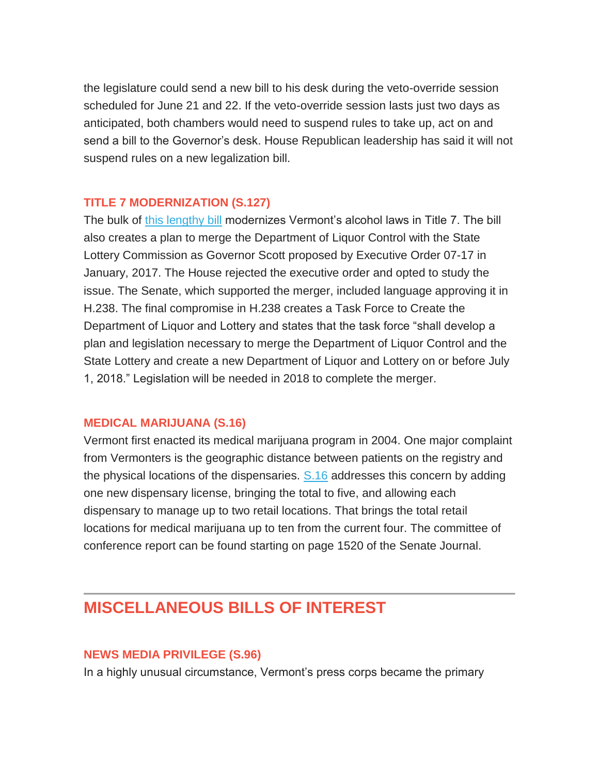the legislature could send a new bill to his desk during the veto-override session scheduled for June 21 and 22. If the veto-override session lasts just two days as anticipated, both chambers would need to suspend rules to take up, act on and send a bill to the Governor's desk. House Republican leadership has said it will not suspend rules on a new legalization bill.

#### **TITLE 7 MODERNIZATION (S.127)**

The bulk of [this lengthy bill](http://legislature.vermont.gov/assets/Documents/2018/Docs/BILLS/H-0238/H-0238%20As%20Passed%20by%20Both%20House%20and%20Senate%20Unofficial.pdf) modernizes Vermont's alcohol laws in Title 7. The bill also creates a plan to merge the Department of Liquor Control with the State Lottery Commission as Governor Scott proposed by Executive Order 07-17 in January, 2017. The House rejected the executive order and opted to study the issue. The Senate, which supported the merger, included language approving it in H.238. The final compromise in H.238 creates a Task Force to Create the Department of Liquor and Lottery and states that the task force "shall develop a plan and legislation necessary to merge the Department of Liquor Control and the State Lottery and create a new Department of Liquor and Lottery on or before July 1, 2018." Legislation will be needed in 2018 to complete the merger.

#### **MEDICAL MARIJUANA (S.16)**

Vermont first enacted its medical marijuana program in 2004. One major complaint from Vermonters is the geographic distance between patients on the registry and the physical locations of the dispensaries. [S.16](http://legislature.vermont.gov/assets/Documents/2018/Docs/JOURNAL/sj170510.pdf#page=56) addresses this concern by adding one new dispensary license, bringing the total to five, and allowing each dispensary to manage up to two retail locations. That brings the total retail locations for medical marijuana up to ten from the current four. The committee of conference report can be found starting on page 1520 of the Senate Journal.

# **MISCELLANEOUS BILLS OF INTEREST**

#### **NEWS MEDIA PRIVILEGE (S.96)**

In a highly unusual circumstance, Vermont's press corps became the primary